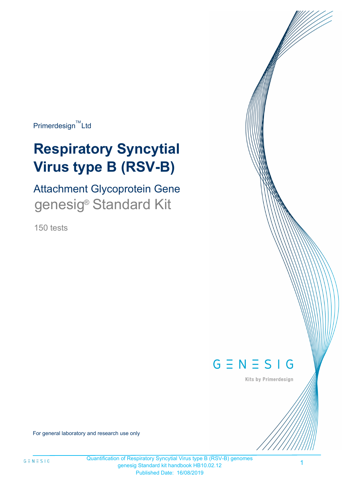$Primerdesign^{\text{TM}}$ Ltd

# **Respiratory Syncytial Virus type B (RSV-B)**

Attachment Glycoprotein Gene genesig<sup>®</sup> Standard Kit

150 tests



Kits by Primerdesign

For general laboratory and research use only

1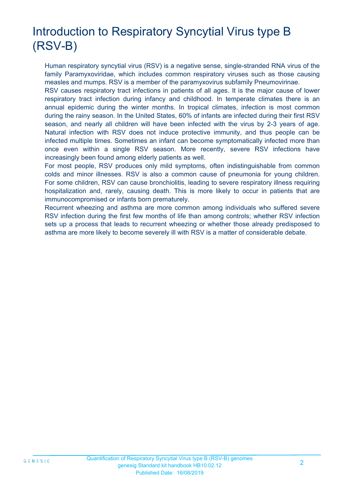# Introduction to Respiratory Syncytial Virus type B (RSV-B)

Human respiratory syncytial virus (RSV) is a negative sense, single-stranded RNA virus of the family Paramyxoviridae, which includes common respiratory viruses such as those causing measles and mumps. RSV is a member of the paramyxovirus subfamily Pneumovirinae.

RSV causes respiratory tract infections in patients of all ages. It is the major cause of lower respiratory tract infection during infancy and childhood. In temperate climates there is an annual epidemic during the winter months. In tropical climates, infection is most common during the rainy season. In the United States, 60% of infants are infected during their first RSV season, and nearly all children will have been infected with the virus by 2-3 years of age. Natural infection with RSV does not induce protective immunity, and thus people can be infected multiple times. Sometimes an infant can become symptomatically infected more than once even within a single RSV season. More recently, severe RSV infections have increasingly been found among elderly patients as well.

For most people, RSV produces only mild symptoms, often indistinguishable from common colds and minor illnesses. RSV is also a common cause of pneumonia for young children. For some children, RSV can cause bronchiolitis, leading to severe respiratory illness requiring hospitalization and, rarely, causing death. This is more likely to occur in patients that are immunocompromised or infants born prematurely.

Recurrent wheezing and asthma are more common among individuals who suffered severe RSV infection during the first few months of life than among controls; whether RSV infection sets up a process that leads to recurrent wheezing or whether those already predisposed to asthma are more likely to become severely ill with RSV is a matter of considerable debate.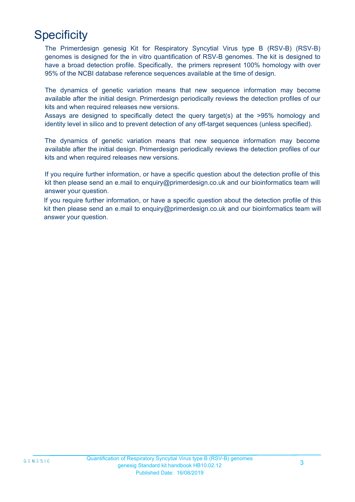# **Specificity**

The Primerdesign genesig Kit for Respiratory Syncytial Virus type B (RSV-B) (RSV-B) genomes is designed for the in vitro quantification of RSV-B genomes. The kit is designed to have a broad detection profile. Specifically, the primers represent 100% homology with over 95% of the NCBI database reference sequences available at the time of design.

The dynamics of genetic variation means that new sequence information may become available after the initial design. Primerdesign periodically reviews the detection profiles of our kits and when required releases new versions.

Assays are designed to specifically detect the query target(s) at the >95% homology and identity level in silico and to prevent detection of any off-target sequences (unless specified).

The dynamics of genetic variation means that new sequence information may become available after the initial design. Primerdesign periodically reviews the detection profiles of our kits and when required releases new versions.

If you require further information, or have a specific question about the detection profile of this kit then please send an e.mail to enquiry@primerdesign.co.uk and our bioinformatics team will answer your question.

If you require further information, or have a specific question about the detection profile of this kit then please send an e.mail to enquiry@primerdesign.co.uk and our bioinformatics team will answer your question.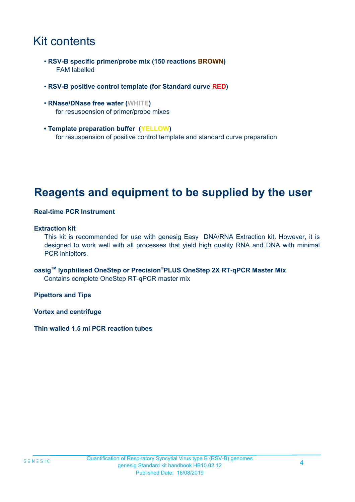# Kit contents

- **RSV-B specific primer/probe mix (150 reactions BROWN)** FAM labelled
- **RSV-B positive control template (for Standard curve RED)**
- **RNase/DNase free water (WHITE)** for resuspension of primer/probe mixes
- **Template preparation buffer (YELLOW)** for resuspension of positive control template and standard curve preparation

# **Reagents and equipment to be supplied by the user**

#### **Real-time PCR Instrument**

#### **Extraction kit**

This kit is recommended for use with genesig Easy DNA/RNA Extraction kit. However, it is designed to work well with all processes that yield high quality RNA and DNA with minimal PCR inhibitors.

**oasigTM lyophilised OneStep or Precision**®**PLUS OneStep 2X RT-qPCR Master Mix** Contains complete OneStep RT-qPCR master mix

**Pipettors and Tips**

**Vortex and centrifuge**

**Thin walled 1.5 ml PCR reaction tubes**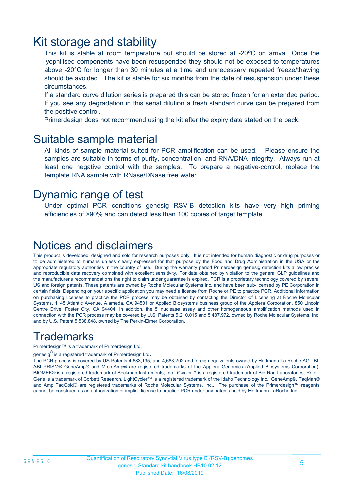### Kit storage and stability

This kit is stable at room temperature but should be stored at -20ºC on arrival. Once the lyophilised components have been resuspended they should not be exposed to temperatures above -20°C for longer than 30 minutes at a time and unnecessary repeated freeze/thawing should be avoided. The kit is stable for six months from the date of resuspension under these circumstances.

If a standard curve dilution series is prepared this can be stored frozen for an extended period. If you see any degradation in this serial dilution a fresh standard curve can be prepared from the positive control.

Primerdesign does not recommend using the kit after the expiry date stated on the pack.

### Suitable sample material

All kinds of sample material suited for PCR amplification can be used. Please ensure the samples are suitable in terms of purity, concentration, and RNA/DNA integrity. Always run at least one negative control with the samples. To prepare a negative-control, replace the template RNA sample with RNase/DNase free water.

### Dynamic range of test

Under optimal PCR conditions genesig RSV-B detection kits have very high priming efficiencies of >90% and can detect less than 100 copies of target template.

### Notices and disclaimers

This product is developed, designed and sold for research purposes only. It is not intended for human diagnostic or drug purposes or to be administered to humans unless clearly expressed for that purpose by the Food and Drug Administration in the USA or the appropriate regulatory authorities in the country of use. During the warranty period Primerdesign genesig detection kits allow precise and reproducible data recovery combined with excellent sensitivity. For data obtained by violation to the general GLP guidelines and the manufacturer's recommendations the right to claim under guarantee is expired. PCR is a proprietary technology covered by several US and foreign patents. These patents are owned by Roche Molecular Systems Inc. and have been sub-licensed by PE Corporation in certain fields. Depending on your specific application you may need a license from Roche or PE to practice PCR. Additional information on purchasing licenses to practice the PCR process may be obtained by contacting the Director of Licensing at Roche Molecular Systems, 1145 Atlantic Avenue, Alameda, CA 94501 or Applied Biosystems business group of the Applera Corporation, 850 Lincoln Centre Drive, Foster City, CA 94404. In addition, the 5' nuclease assay and other homogeneous amplification methods used in connection with the PCR process may be covered by U.S. Patents 5,210,015 and 5,487,972, owned by Roche Molecular Systems, Inc, and by U.S. Patent 5,538,848, owned by The Perkin-Elmer Corporation.

### **Trademarks**

Primerdesign™ is a trademark of Primerdesign Ltd.

genesig $^\circledR$  is a registered trademark of Primerdesign Ltd.

The PCR process is covered by US Patents 4,683,195, and 4,683,202 and foreign equivalents owned by Hoffmann-La Roche AG. BI, ABI PRISM® GeneAmp® and MicroAmp® are registered trademarks of the Applera Genomics (Applied Biosystems Corporation). BIOMEK® is a registered trademark of Beckman Instruments, Inc.; iCycler™ is a registered trademark of Bio-Rad Laboratories, Rotor-Gene is a trademark of Corbett Research. LightCycler™ is a registered trademark of the Idaho Technology Inc. GeneAmp®, TaqMan® and AmpliTaqGold® are registered trademarks of Roche Molecular Systems, Inc., The purchase of the Primerdesign™ reagents cannot be construed as an authorization or implicit license to practice PCR under any patents held by Hoffmann-LaRoche Inc.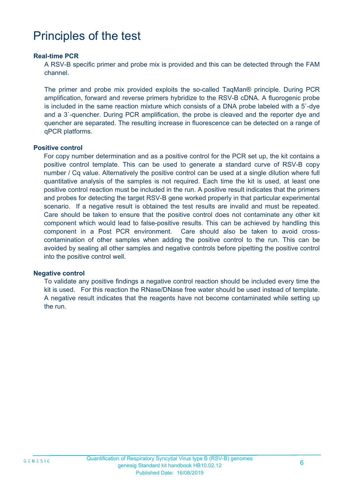# Principles of the test

#### **Real-time PCR**

A RSV-B specific primer and probe mix is provided and this can be detected through the FAM channel.

The primer and probe mix provided exploits the so-called TaqMan® principle. During PCR amplification, forward and reverse primers hybridize to the RSV-B cDNA. A fluorogenic probe is included in the same reaction mixture which consists of a DNA probe labeled with a 5`-dye and a 3`-quencher. During PCR amplification, the probe is cleaved and the reporter dye and quencher are separated. The resulting increase in fluorescence can be detected on a range of qPCR platforms.

#### **Positive control**

For copy number determination and as a positive control for the PCR set up, the kit contains a positive control template. This can be used to generate a standard curve of RSV-B copy number / Cq value. Alternatively the positive control can be used at a single dilution where full quantitative analysis of the samples is not required. Each time the kit is used, at least one positive control reaction must be included in the run. A positive result indicates that the primers and probes for detecting the target RSV-B gene worked properly in that particular experimental scenario. If a negative result is obtained the test results are invalid and must be repeated. Care should be taken to ensure that the positive control does not contaminate any other kit component which would lead to false-positive results. This can be achieved by handling this component in a Post PCR environment. Care should also be taken to avoid crosscontamination of other samples when adding the positive control to the run. This can be avoided by sealing all other samples and negative controls before pipetting the positive control into the positive control well.

#### **Negative control**

To validate any positive findings a negative control reaction should be included every time the kit is used. For this reaction the RNase/DNase free water should be used instead of template. A negative result indicates that the reagents have not become contaminated while setting up the run.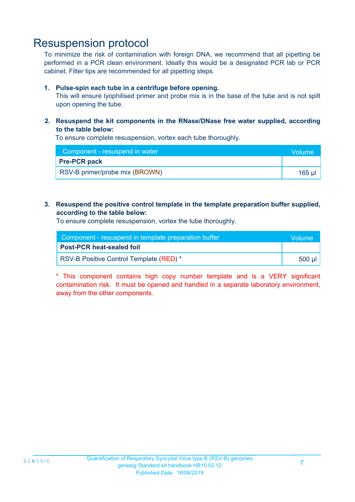### Resuspension protocol

To minimize the risk of contamination with foreign DNA, we recommend that all pipetting be performed in a PCR clean environment. Ideally this would be a designated PCR lab or PCR cabinet. Filter tips are recommended for all pipetting steps.

#### **1. Pulse-spin each tube in a centrifuge before opening.**

This will ensure lyophilised primer and probe mix is in the base of the tube and is not spilt upon opening the tube.

**2. Resuspend the kit components in the RNase/DNase free water supplied, according to the table below:**

To ensure complete resuspension, vortex each tube thoroughly.

| Component - resuspend in water | <b>Volume</b> |
|--------------------------------|---------------|
| <b>Pre-PCR pack</b>            |               |
| RSV-B primer/probe mix (BROWN) | 165 ul        |

#### **3. Resuspend the positive control template in the template preparation buffer supplied, according to the table below:**

To ensure complete resuspension, vortex the tube thoroughly.

| Component - resuspend in template preparation buffer |                  |  |
|------------------------------------------------------|------------------|--|
| <b>Post-PCR heat-sealed foil</b>                     |                  |  |
| RSV-B Positive Control Template (RED) *              | .500 µl <i>'</i> |  |

\* This component contains high copy number template and is a VERY significant contamination risk. It must be opened and handled in a separate laboratory environment, away from the other components.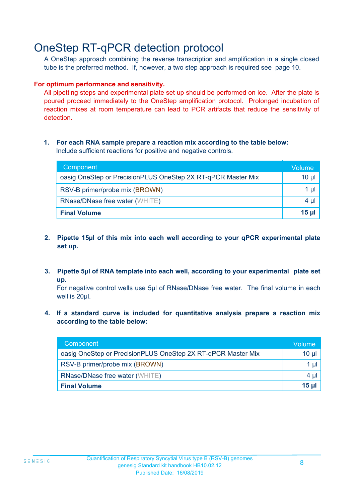# OneStep RT-qPCR detection protocol

A OneStep approach combining the reverse transcription and amplification in a single closed tube is the preferred method. If, however, a two step approach is required see page 10.

#### **For optimum performance and sensitivity.**

All pipetting steps and experimental plate set up should be performed on ice. After the plate is poured proceed immediately to the OneStep amplification protocol. Prolonged incubation of reaction mixes at room temperature can lead to PCR artifacts that reduce the sensitivity of detection.

#### **1. For each RNA sample prepare a reaction mix according to the table below:** Include sufficient reactions for positive and negative controls.

| Component                                                    | Volume       |
|--------------------------------------------------------------|--------------|
| oasig OneStep or PrecisionPLUS OneStep 2X RT-qPCR Master Mix | $10 \mu$     |
| RSV-B primer/probe mix (BROWN)                               | 1 µl         |
| <b>RNase/DNase free water (WHITE)</b>                        | $4 \mu$      |
| <b>Final Volume</b>                                          | <u>15 µl</u> |

- **2. Pipette 15µl of this mix into each well according to your qPCR experimental plate set up.**
- **3. Pipette 5µl of RNA template into each well, according to your experimental plate set up.**

For negative control wells use 5µl of RNase/DNase free water. The final volume in each well is 20ul.

**4. If a standard curve is included for quantitative analysis prepare a reaction mix according to the table below:**

| Component                                                    | Volume   |
|--------------------------------------------------------------|----------|
| oasig OneStep or PrecisionPLUS OneStep 2X RT-qPCR Master Mix | $10 \mu$ |
| RSV-B primer/probe mix (BROWN)                               | 1 µl     |
| <b>RNase/DNase free water (WHITE)</b>                        | 4 µl     |
| <b>Final Volume</b>                                          | $15$ µ   |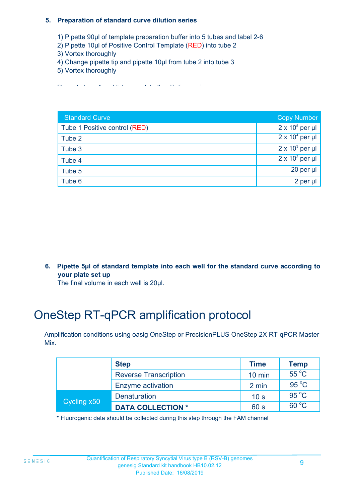#### **5. Preparation of standard curve dilution series**

- 1) Pipette 90µl of template preparation buffer into 5 tubes and label 2-6
- 2) Pipette 10µl of Positive Control Template (RED) into tube 2
- 3) Vortex thoroughly
- 4) Change pipette tip and pipette 10µl from tube 2 into tube 3
- 5) Vortex thoroughly

Repeat steps 4 and 5 to complete the dilution series

| <b>Standard Curve</b>         | <b>Copy Number</b>     |
|-------------------------------|------------------------|
| Tube 1 Positive control (RED) | $2 \times 10^5$ per µl |
| Tube 2                        | $2 \times 10^4$ per µl |
| Tube 3                        | $2 \times 10^3$ per µl |
| Tube 4                        | $2 \times 10^2$ per µl |
| Tube 5                        | 20 per $\mu$           |
| Tube 6                        | 2 per µl               |

**6. Pipette 5µl of standard template into each well for the standard curve according to your plate set up**

The final volume in each well is 20µl.

# OneStep RT-qPCR amplification protocol

Amplification conditions using oasig OneStep or PrecisionPLUS OneStep 2X RT-qPCR Master Mix.

|             | <b>Step</b>                  | <b>Time</b>      | <b>Temp</b>    |
|-------------|------------------------------|------------------|----------------|
|             | <b>Reverse Transcription</b> | $10 \text{ min}$ | $55^{\circ}$ C |
|             | <b>Enzyme activation</b>     | 2 min            | $95^{\circ}$ C |
| Cycling x50 | <b>Denaturation</b>          | 10 <sub>s</sub>  | $95^{\circ}$ C |
|             | <b>DATA COLLECTION *</b>     | 60 s             | $60^{\circ}$ C |

\* Fluorogenic data should be collected during this step through the FAM channel